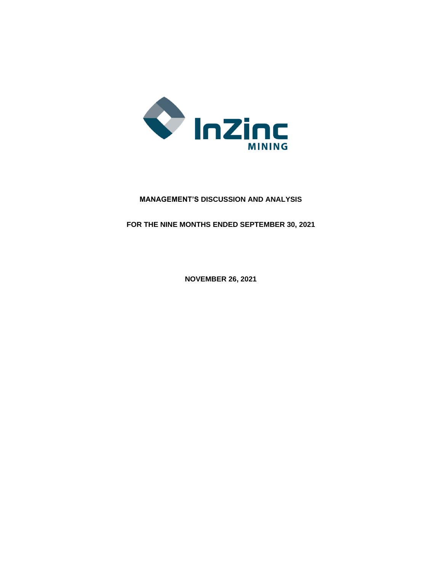

# **MANAGEMENT'S DISCUSSION AND ANALYSIS**

**FOR THE NINE MONTHS ENDED SEPTEMBER 30, 2021**

**NOVEMBER 26, 2021**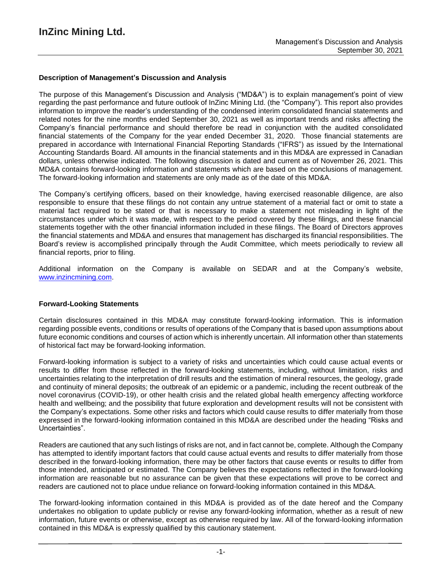### **Description of Management's Discussion and Analysis**

The purpose of this Management's Discussion and Analysis ("MD&A") is to explain management's point of view regarding the past performance and future outlook of InZinc Mining Ltd. (the "Company"). This report also provides information to improve the reader's understanding of the condensed interim consolidated financial statements and related notes for the nine months ended September 30, 2021 as well as important trends and risks affecting the Company's financial performance and should therefore be read in conjunction with the audited consolidated financial statements of the Company for the year ended December 31, 2020. Those financial statements are prepared in accordance with International Financial Reporting Standards ("IFRS") as issued by the International Accounting Standards Board. All amounts in the financial statements and in this MD&A are expressed in Canadian dollars, unless otherwise indicated. The following discussion is dated and current as of November 26, 2021. This MD&A contains forward-looking information and statements which are based on the conclusions of management. The forward-looking information and statements are only made as of the date of this MD&A.

The Company's certifying officers, based on their knowledge, having exercised reasonable diligence, are also responsible to ensure that these filings do not contain any untrue statement of a material fact or omit to state a material fact required to be stated or that is necessary to make a statement not misleading in light of the circumstances under which it was made, with respect to the period covered by these filings, and these financial statements together with the other financial information included in these filings. The Board of Directors approves the financial statements and MD&A and ensures that management has discharged its financial responsibilities. The Board's review is accomplished principally through the Audit Committee, which meets periodically to review all financial reports, prior to filing.

Additional information on the Company is available on SEDAR and at the Company's website, www.inzincmining.com.

#### **Forward-Looking Statements**

Certain disclosures contained in this MD&A may constitute forward-looking information. This is information regarding possible events, conditions or results of operations of the Company that is based upon assumptions about future economic conditions and courses of action which is inherently uncertain. All information other than statements of historical fact may be forward-looking information.

Forward-looking information is subject to a variety of risks and uncertainties which could cause actual events or results to differ from those reflected in the forward-looking statements, including, without limitation, risks and uncertainties relating to the interpretation of drill results and the estimation of mineral resources, the geology, grade and continuity of mineral deposits; the outbreak of an epidemic or a pandemic, including the recent outbreak of the novel coronavirus (COVID-19), or other health crisis and the related global health emergency affecting workforce health and wellbeing; and the possibility that future exploration and development results will not be consistent with the Company's expectations. Some other risks and factors which could cause results to differ materially from those expressed in the forward-looking information contained in this MD&A are described under the heading "Risks and Uncertainties".

Readers are cautioned that any such listings of risks are not, and in fact cannot be, complete. Although the Company has attempted to identify important factors that could cause actual events and results to differ materially from those described in the forward-looking information, there may be other factors that cause events or results to differ from those intended, anticipated or estimated. The Company believes the expectations reflected in the forward-looking information are reasonable but no assurance can be given that these expectations will prove to be correct and readers are cautioned not to place undue reliance on forward-looking information contained in this MD&A.

The forward-looking information contained in this MD&A is provided as of the date hereof and the Company undertakes no obligation to update publicly or revise any forward-looking information, whether as a result of new information, future events or otherwise, except as otherwise required by law. All of the forward-looking information contained in this MD&A is expressly qualified by this cautionary statement.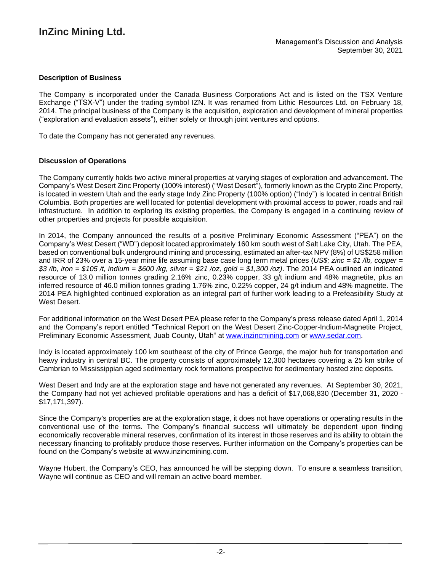## **Description of Business**

The Company is incorporated under the Canada Business Corporations Act and is listed on the TSX Venture Exchange ("TSX-V") under the trading symbol IZN. It was renamed from Lithic Resources Ltd. on February 18, 2014. The principal business of the Company is the acquisition, exploration and development of mineral properties ("exploration and evaluation assets"), either solely or through joint ventures and options.

To date the Company has not generated any revenues.

### **Discussion of Operations**

The Company currently holds two active mineral properties at varying stages of exploration and advancement. The Company's West Desert Zinc Property (100% interest) ("West Desert"), formerly known as the Crypto Zinc Property, is located in western Utah and the early stage Indy Zinc Property (100% option) ("Indy") is located in central British Columbia. Both properties are well located for potential development with proximal access to power, roads and rail infrastructure. In addition to exploring its existing properties, the Company is engaged in a continuing review of other properties and projects for possible acquisition.

In 2014, the Company announced the results of a positive Preliminary Economic Assessment ("PEA") on the Company's West Desert ("WD") deposit located approximately 160 km south west of Salt Lake City, Utah. The PEA, based on conventional bulk underground mining and processing, estimated an after-tax NPV (8%) of US\$258 million and IRR of 23% over a 15-year mine life assuming base case long term metal prices (*US\$; zinc = \$1 /lb, copper =* \$3/lb, iron = \$105/t, indium = \$600/kg, silver = \$21/oz, gold = \$1,300/oz). The 2014 PEA outlined an indicated resource of 13.0 million tonnes grading 2.16% zinc, 0.23% copper, 33 g/t indium and 48% magnetite, plus an inferred resource of 46.0 million tonnes grading 1.76% zinc, 0.22% copper, 24 g/t indium and 48% magnetite. The 2014 PEA highlighted continued exploration as an integral part of further work leading to a Prefeasibility Study at West Desert.

For additional information on the West Desert PEA please refer to the Company's press release dated April 1, 2014 and the Company's report entitled "Technical Report on the West Desert Zinc-Copper-Indium-Magnetite Project, Preliminary Economic Assessment, Juab County, Utah" at [www.inzincmining.com](http://www.inzincmining.com/) or [www.sedar.com.](http://www.sedar.com/)

Indy is located approximately 100 km southeast of the city of Prince George, the major hub for transportation and heavy industry in central BC. The property consists of approximately 12,300 hectares covering a 25 km strike of Cambrian to Mississippian aged sedimentary rock formations prospective for sedimentary hosted zinc deposits.

West Desert and Indy are at the exploration stage and have not generated any revenues. At September 30, 2021, the Company had not yet achieved profitable operations and has a deficit of \$17,068,830 (December 31, 2020 - \$17,171,397).

Since the Company's properties are at the exploration stage, it does not have operations or operating results in the conventional use of the terms. The Company's financial success will ultimately be dependent upon finding economically recoverable mineral reserves, confirmation of its interest in those reserves and its ability to obtain the necessary financing to profitably produce those reserves. Further information on the Company's properties can be found on the Company's website at [www.inzincmining.com.](http://www.inzincmining.com/)

Wayne Hubert, the Company's CEO, has announced he will be stepping down. To ensure a seamless transition, Wayne will continue as CEO and will remain an active board member.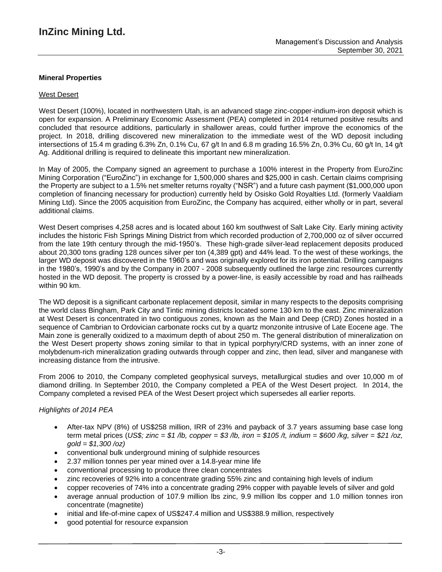## **Mineral Properties**

#### West Desert

West Desert (100%), located in northwestern Utah, is an advanced stage zinc-copper-indium-iron deposit which is open for expansion. A Preliminary Economic Assessment (PEA) completed in 2014 returned positive results and concluded that resource additions, particularly in shallower areas, could further improve the economics of the project. In 2018, drilling discovered new mineralization to the immediate west of the WD deposit including intersections of 15.4 m grading 6.3% Zn, 0.1% Cu, 67 g/t In and 6.8 m grading 16.5% Zn, 0.3% Cu, 60 g/t In, 14 g/t Ag. Additional drilling is required to delineate this important new mineralization.

In May of 2005, the Company signed an agreement to purchase a 100% interest in the Property from EuroZinc Mining Corporation ("EuroZinc") in exchange for 1,500,000 shares and \$25,000 in cash. Certain claims comprising the Property are subject to a 1.5% net smelter returns royalty ("NSR") and a future cash payment (\$1,000,000 upon completion of financing necessary for production) currently held by Osisko Gold Royalties Ltd. (formerly Vaaldiam Mining Ltd). Since the 2005 acquisition from EuroZinc, the Company has acquired, either wholly or in part, several additional claims.

West Desert comprises 4,258 acres and is located about 160 km southwest of Salt Lake City. Early mining activity includes the historic Fish Springs Mining District from which recorded production of 2,700,000 oz of silver occurred from the late 19th century through the mid-1950's. These high-grade silver-lead replacement deposits produced about 20,300 tons grading 128 ounces silver per ton (4,389 gpt) and 44% lead. To the west of these workings, the larger WD deposit was discovered in the 1960's and was originally explored for its iron potential. Drilling campaigns in the 1980's, 1990's and by the Company in 2007 - 2008 subsequently outlined the large zinc resources currently hosted in the WD deposit. The property is crossed by a power-line, is easily accessible by road and has railheads within 90 km.

The WD deposit is a significant carbonate replacement deposit, similar in many respects to the deposits comprising the world class Bingham, Park City and Tintic mining districts located some 130 km to the east. Zinc mineralization at West Desert is concentrated in two contiguous zones, known as the Main and Deep (CRD) Zones hosted in a sequence of Cambrian to Ordovician carbonate rocks cut by a quartz monzonite intrusive of Late Eocene age. The Main zone is generally oxidized to a maximum depth of about 250 m. The general distribution of mineralization on the West Desert property shows zoning similar to that in typical porphyry/CRD systems, with an inner zone of molybdenum-rich mineralization grading outwards through copper and zinc, then lead, silver and manganese with increasing distance from the intrusive.

From 2006 to 2010, the Company completed geophysical surveys, metallurgical studies and over 10,000 m of diamond drilling. In September 2010, the Company completed a PEA of the West Desert project. In 2014, the Company completed a revised PEA of the West Desert project which supersedes all earlier reports.

#### *Highlights of 2014 PEA*

- After-tax NPV (8%) of US\$258 million, IRR of 23% and payback of 3.7 years assuming base case long term metal prices (US\$; zinc = \$1 /b, copper = \$3 /b, iron = \$105 /t, indium = \$600 /kg, silver = \$21 /oz, *gold = \$1,300 /oz)*
- conventional bulk underground mining of sulphide resources
- 2.37 million tonnes per year mined over a 14.8-year mine life
- conventional processing to produce three clean concentrates
- zinc recoveries of 92% into a concentrate grading 55% zinc and containing high levels of indium
- copper recoveries of 74% into a concentrate grading 29% copper with payable levels of silver and gold
- average annual production of 107.9 million lbs zinc, 9.9 million lbs copper and 1.0 million tonnes iron concentrate (magnetite)
- initial and life-of-mine capex of US\$247.4 million and US\$388.9 million, respectively
- good potential for resource expansion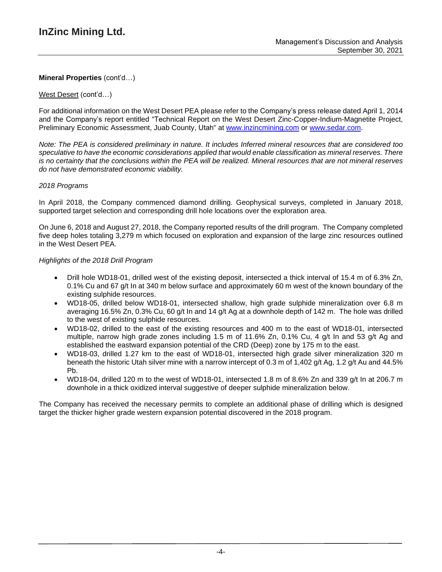### West Desert (cont'd…)

For additional information on the West Desert PEA please refer to the Company's press release dated April 1, 2014 and the Company's report entitled "Technical Report on the West Desert Zinc-Copper-Indium-Magnetite Project, Preliminary Economic Assessment, Juab County, Utah" at [www.inzincmining.com](http://www.inzincmining.com/) or [www.sedar.com.](http://www.sedar.com/)

Note: The PEA is considered preliminary in nature. It includes Inferred mineral resources that are considered too *speculative to have the economic considerations applied that would enable classification as mineral reserves. There* is no certainty that the conclusions within the PEA will be realized. Mineral resources that are not mineral reserves *do not have demonstrated economic viability.*

### *2018 Programs*

In April 2018, the Company commenced diamond drilling. Geophysical surveys, completed in January 2018, supported target selection and corresponding drill hole locations over the exploration area.

On June 6, 2018 and August 27, 2018, the Company reported results of the drill program. The Company completed five deep holes totaling 3,279 m which focused on exploration and expansion of the large zinc resources outlined in the West Desert PEA.

### *Highlights of the 2018 Drill Program*

- Drill hole WD18-01, drilled west of the existing deposit, intersected a thick interval of 15.4 m of 6.3% Zn, 0.1% Cu and 67 g/t In at 340 m below surface and approximately 60 m west of the known boundary of the existing sulphide resources.
- WD18-05, drilled below WD18-01, intersected shallow, high grade sulphide mineralization over 6.8 m averaging 16.5% Zn, 0.3% Cu, 60 g/t In and 14 g/t Ag at a downhole depth of 142 m. The hole was drilled to the west of existing sulphide resources.
- WD18-02, drilled to the east of the existing resources and 400 m to the east of WD18-01, intersected multiple, narrow high grade zones including 1.5 m of 11.6% Zn, 0.1% Cu, 4 g/t In and 53 g/t Ag and established the eastward expansion potential of the CRD (Deep) zone by 175 m to the east.
- WD18-03, drilled 1.27 km to the east of WD18-01, intersected high grade silver mineralization 320 m beneath the historic Utah silver mine with a narrow intercept of 0.3 m of 1,402 g/t Ag, 1.2 g/t Au and 44.5% Pb.
- WD18-04, drilled 120 m to the west of WD18-01, intersected 1.8 m of 8.6% Zn and 339  $\alpha/t$  In at 206.7 m downhole in a thick oxidized interval suggestive of deeper sulphide mineralization below.

The Company has received the necessary permits to complete an additional phase of drilling which is designed target the thicker higher grade western expansion potential discovered in the 2018 program.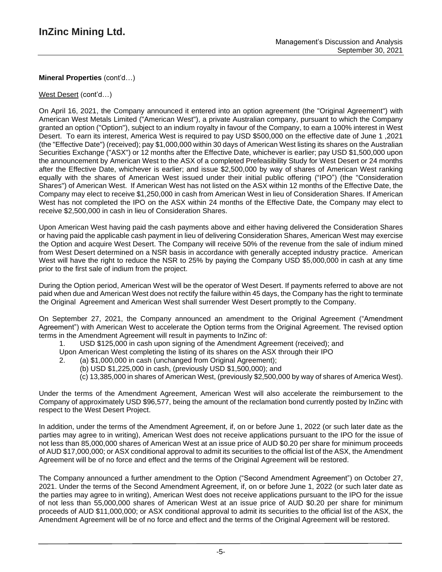### West Desert (cont'd…)

On April 16, 2021, the Company announced it entered into an option agreement (the "Original Agreement") with American West Metals Limited ("American West"), a private Australian company, pursuant to which the Company granted an option ("Option"), subject to an indium royalty in favour of the Company, to earn a 100% interest in West Desert. To earn its interest, America West is required to pay USD \$500,000 on the effective date of June 1 ,2021 (the "Effective Date") (received); pay \$1,000,000 within 30 days of American West listing its shares on the Australian Securities Exchange ("ASX") or 12 months after the Effective Date, whichever is earlier; pay USD \$1,500,000 upon the announcement by American West to the ASX of a completed Prefeasibility Study for West Desert or 24 months after the Effective Date, whichever is earlier; and issue \$2,500,000 by way of shares of American West ranking equally with the shares of American West issued under their initial public offering ("IPO") (the "Consideration Shares") of American West. If American West has not listed on the ASX within 12 months of the Effective Date, the Company may elect to receive \$1,250,000 in cash from American West in lieu of Consideration Shares. If American West has not completed the IPO on the ASX within 24 months of the Effective Date, the Company may elect to receive \$2,500,000 in cash in lieu of Consideration Shares.

Upon American West having paid the cash payments above and either having delivered the Consideration Shares or having paid the applicable cash payment in lieu of delivering Consideration Shares, American West may exercise the Option and acquire West Desert. The Company will receive 50% of the revenue from the sale of indium mined from West Desert determined on a NSR basis in accordance with generally accepted industry practice. American West will have the right to reduce the NSR to 25% by paying the Company USD \$5,000,000 in cash at any time prior to the first sale of indium from the project.

During the Option period, American West will be the operator of West Desert. If payments referred to above are not paid when due and American West does not rectify the failure within 45 days, the Company has the right to terminate the Original Agreement and American West shall surrender West Desert promptly to the Company.

On September 27, 2021, the Company announced an amendment to the Original Agreement ("Amendment Agreement") with American West to accelerate the Option terms from the Original Agreement. The revised option terms in the Amendment Agreement will result in payments to InZinc of:

- 1. USD \$125,000 in cash upon signing of the Amendment Agreement (received); and
- Upon American West completing the listing of its shares on the ASX through their IPO
- 2. (a) \$1,000,000 in cash (unchanged from Original Agreement);
	- (b) USD \$1,225,000 in cash, (previously USD \$1,500,000); and
		- (c) 13,385,000 in shares of American West, (previously \$2,500,000 by way of shares of America West).

Under the terms of the Amendment Agreement, American West will also accelerate the reimbursement to the Company of approximately USD \$96,577, being the amount of the reclamation bond currently posted by InZinc with respect to the West Desert Project.

In addition, under the terms of the Amendment Agreement, if, on or before June 1, 2022 (or such later date as the parties may agree to in writing), American West does not receive applications pursuant to the IPO for the issue of not less than 85,000,000 shares of American West at an issue price of AUD \$0.20 per share for minimum proceeds of AUD \$17,000,000; or ASX conditional approval to admit its securities to the official list of the ASX, the Amendment Agreement will be of no force and effect and the terms of the Original Agreement will be restored.

The Company announced a further amendment to the Option ("Second Amendment Agreement") on October 27, 2021. Under the terms of the Second Amendment Agreement, if, on or before June 1, 2022 (or such later date as the parties may agree to in writing), American West does not receive applications pursuant to the IPO for the issue of not less than 55,000,000 shares of American West at an issue price of AUD \$0.20 per share for minimum proceeds of AUD \$11,000,000; or ASX conditional approval to admit its securities to the official list of the ASX, the Amendment Agreement will be of no force and effect and the terms of the Original Agreement will be restored.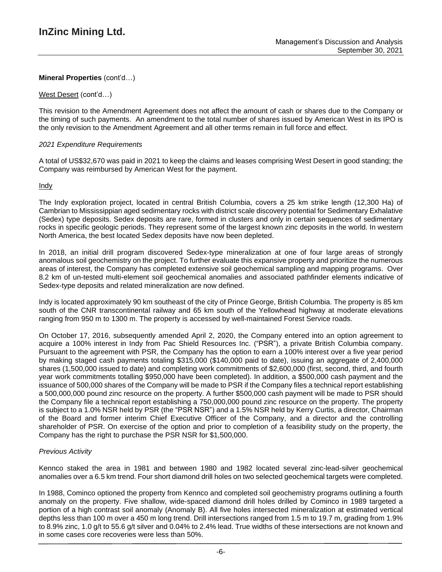#### West Desert (cont'd…)

This revision to the Amendment Agreement does not affect the amount of cash or shares due to the Company or the timing of such payments. An amendment to the total number of shares issued by American West in its IPO is the only revision to the Amendment Agreement and all other terms remain in full force and effect.

### *2021 Expenditure Requirements*

A total of US\$32,670 was paid in 2021 to keep the claims and leases comprising West Desert in good standing; the Company was reimbursed by American West for the payment.

**Indy** 

The Indy exploration project, located in central British Columbia, covers a 25 km strike length (12,300 Ha) of Cambrian to Mississippian aged sedimentary rocks with district scale discovery potential for Sedimentary Exhalative (Sedex) type deposits. Sedex deposits are rare, formed in clusters and only in certain sequences of sedimentary rocks in specific geologic periods. They represent some of the largest known zinc deposits in the world. In western North America, the best located Sedex deposits have now been depleted.

In 2018, an initial drill program discovered Sedex-type mineralization at one of four large areas of strongly anomalous soil geochemistry on the project. To further evaluate this expansive property and prioritize the numerous areas of interest, the Company has completed extensive soil geochemical sampling and mapping programs. Over 8.2 km of un-tested multi-element soil geochemical anomalies and associated pathfinder elements indicative of Sedex-type deposits and related mineralization are now defined.

Indy is located approximately 90 km southeast of the city of Prince George, British Columbia. The property is 85 km south of the CNR transcontinental railway and 65 km south of the Yellowhead highway at moderate elevations ranging from 950 m to 1300 m. The property is accessed by well-maintained Forest Service roads.

On October 17, 2016, subsequently amended April 2, 2020, the Company entered into an option agreement to acquire a 100% interest in Indy from Pac Shield Resources Inc. ("PSR"), a private British Columbia company. Pursuant to the agreement with PSR, the Company has the option to earn a 100% interest over a five year period by making staged cash payments totaling \$315,000 (\$140,000 paid to date), issuing an aggregate of 2,400,000 shares (1,500,000 issued to date) and completing work commitments of \$2,600,000 (first, second, third, and fourth year work commitments totalling \$950,000 have been completed). In addition, a \$500,000 cash payment and the issuance of 500,000 shares of the Company will be made to PSR if the Company files a technical report establishing a 500,000,000 pound zinc resource on the property. A further \$500,000 cash payment will be made to PSR should the Company file a technical report establishing a 750,000,000 pound zinc resource on the property. The property is subject to a 1.0% NSR held by PSR (the "PSR NSR") and a 1.5% NSR held by Kerry Curtis, a director, Chairman of the Board and former interim Chief Executive Officer of the Company, and a director and the controlling shareholder of PSR. On exercise of the option and prior to completion of a feasibility study on the property, the Company has the right to purchase the PSR NSR for \$1,500,000.

## *Previous Activity*

Kennco staked the area in 1981 and between 1980 and 1982 located several zinc-lead-silver geochemical anomalies over a 6.5 km trend. Four short diamond drill holes on two selected geochemical targets were completed.

In 1988, Cominco optioned the property from Kennco and completed soil geochemistry programs outlining a fourth anomaly on the property. Five shallow, wide-spaced diamond drill holes drilled by Cominco in 1989 targeted a portion of a high contrast soil anomaly (Anomaly B). All five holes intersected mineralization at estimated vertical depths less than 100 m over a 450 m long trend. Drill intersections ranged from 1.5 m to 19.7 m, grading from 1.9% to 8.9% zinc, 1.0 g/t to 55.6 g/t silver and 0.04% to 2.4% lead. True widths of these intersections are not known and in some cases core recoveries were less than 50%.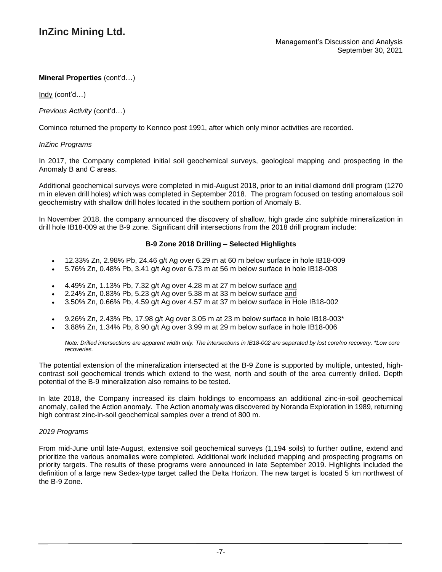Indy (cont'd…)

*Previous Activity* (cont'd…)

Cominco returned the property to Kennco post 1991, after which only minor activities are recorded.

### *InZinc Programs*

In 2017, the Company completed initial soil geochemical surveys, geological mapping and prospecting in the Anomaly B and C areas.

Additional geochemical surveys were completed in mid-August 2018, prior to an initial diamond drill program (1270 m in eleven drill holes) which was completed in September 2018. The program focused on testing anomalous soil geochemistry with shallow drill holes located in the southern portion of Anomaly B.

In November 2018, the company announced the discovery of shallow, high grade zinc sulphide mineralization in drill hole IB18-009 at the B-9 zone. Significant drill intersections from the 2018 drill program include:

### **B-9 Zone 2018 Drilling – Selected Highlights**

- 12.33% Zn, 2.98% Pb, 24.46 g/t Ag over 6.29 m at 60 m below surface in hole IB18-009
- 5.76% Zn, 0.48% Pb, 3.41 g/t Ag over 6.73 m at 56 m below surface in hole IB18-008
- 4.49% Zn, 1.13% Pb, 7.32 g/t Ag over 4.28 m at 27 m below surface and
- 2.24% Zn, 0.83% Pb, 5.23 g/t Ag over 5.38 m at 33 m below surface and
- 3.50% Zn, 0.66% Pb, 4.59 g/t Ag over 4.57 m at 37 m below surface in Hole IB18-002
- 9.26% Zn, 2.43% Pb, 17.98 g/t Ag over 3.05 m at 23 m below surface in hole IB18-003\*
- 3.88% Zn, 1.34% Pb, 8.90 g/t Ag over 3.99 m at 29 m below surface in hole IB18-006

Note: Drilled intersections are apparent width only. The intersections in IB18-002 are separated by lost core/no recovery. \*Low core *recoveries.*

The potential extension of the mineralization intersected at the B-9 Zone is supported by multiple, untested, highcontrast soil geochemical trends which extend to the west, north and south of the area currently drilled. Depth potential of the B-9 mineralization also remains to be tested.

In late 2018, the Company increased its claim holdings to encompass an additional zinc-in-soil geochemical anomaly, called the Action anomaly. The Action anomaly was discovered by Noranda Exploration in 1989, returning high contrast zinc-in-soil geochemical samples over a trend of 800 m.

#### *2019 Programs*

From mid-June until late-August, extensive soil geochemical surveys (1,194 soils) to further outline, extend and prioritize the various anomalies were completed. Additional work included mapping and prospecting programs on priority targets. The results of these programs were announced in late September 2019. Highlights included the definition of a large new Sedex-type target called the Delta Horizon. The new target is located 5 km northwest of the B-9 Zone.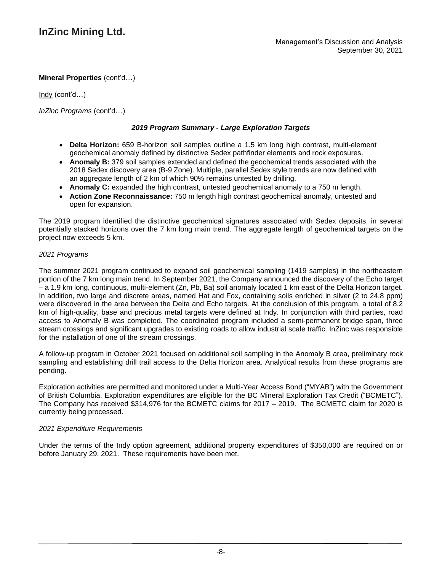Indy (cont'd…)

*InZinc Programs* (cont'd…)

# *2019 Program Summary - Large Exploration Targets*

- **Delta Horizon:** 659 B-horizon soil samples outline a 1.5 km long high contrast, multi-element geochemical anomaly defined by distinctive Sedex pathfinder elements and rock exposures.
- **Anomaly B:** 379 soil samples extended and defined the geochemical trends associated with the 2018 Sedex discovery area (B-9 Zone). Multiple, parallel Sedex style trends are now defined with an aggregate length of 2 km of which 90% remains untested by drilling.
- **Anomaly C:** expanded the high contrast, untested geochemical anomaly to a 750 m length.
- **Action Zone Reconnaissance:** 750 m length high contrast geochemical anomaly, untested and open for expansion.

The 2019 program identified the distinctive geochemical signatures associated with Sedex deposits, in several potentially stacked horizons over the 7 km long main trend. The aggregate length of geochemical targets on the project now exceeds 5 km.

## *2021 Programs*

The summer 2021 program continued to expand soil geochemical sampling (1419 samples) in the northeastern portion of the 7 km long main trend. In September 2021, the Company announced the discovery of the Echo target – a 1.9 km long, continuous, multi-element (Zn, Pb, Ba) soil anomaly located 1 km east of the Delta Horizon target. In addition, two large and discrete areas, named Hat and Fox, containing soils enriched in silver (2 to 24.8 ppm) were discovered in the area between the Delta and Echo targets. At the conclusion of this program, a total of 8.2 km of high-quality, base and precious metal targets were defined at Indy. In conjunction with third parties, road access to Anomaly B was completed. The coordinated program included a semi-permanent bridge span, three stream crossings and significant upgrades to existing roads to allow industrial scale traffic. InZinc was responsible for the installation of one of the stream crossings.

A follow-up program in October 2021 focused on additional soil sampling in the Anomaly B area, preliminary rock sampling and establishing drill trail access to the Delta Horizon area. Analytical results from these programs are pending.

Exploration activities are permitted and monitored under a Multi-Year Access Bond ("MYAB") with the Government of British Columbia. Exploration expenditures are eligible for the BC Mineral Exploration Tax Credit ("BCMETC"). The Company has received \$314,976 for the BCMETC claims for 2017 – 2019. The BCMETC claim for 2020 is currently being processed.

## *2021 Expenditure Requirements*

Under the terms of the Indy option agreement, additional property expenditures of \$350,000 are required on or before January 29, 2021. These requirements have been met.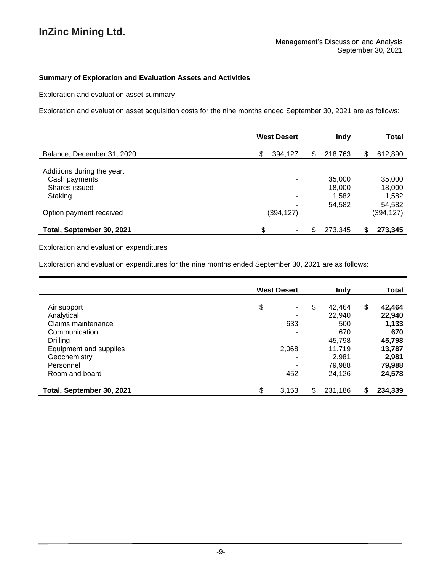## **Summary of Exploration and Evaluation Assets and Activities**

Exploration and evaluation asset summary

Exploration and evaluation asset acquisition costs for the nine months ended September 30, 2021 are as follows:

|                            | <b>West Desert</b> |   | Indy    |    | <b>Total</b> |
|----------------------------|--------------------|---|---------|----|--------------|
| Balance, December 31, 2020 | \$<br>394,127      | S | 218,763 | \$ | 612,890      |
| Additions during the year: |                    |   |         |    |              |
| Cash payments              | -                  |   | 35,000  |    | 35,000       |
| Shares issued              | ۰                  |   | 18,000  |    | 18,000       |
| Staking                    | ۰                  |   | 1,582   |    | 1,582        |
|                            |                    |   | 54,582  |    | 54,582       |
| Option payment received    | (394,127)          |   |         |    | (394,127)    |
|                            |                    |   |         |    |              |
| Total, September 30, 2021  | ዩ                  | S | 273,345 | S  | 273,345      |

## Exploration and evaluation expenditures

Exploration and evaluation expenditures for the nine months ended September 30, 2021 are as follows:

|                           | <b>West Desert</b> | <b>Indy</b>  | <b>Total</b>  |
|---------------------------|--------------------|--------------|---------------|
| Air support               | \$<br>۰            | \$<br>42,464 | \$<br>42,464  |
| Analytical                | ۰                  | 22,940       | 22,940        |
| Claims maintenance        | 633                | 500          | 1,133         |
| Communication             | ۰                  | 670          | 670           |
| <b>Drilling</b>           | ۰                  | 45,798       | 45,798        |
| Equipment and supplies    | 2,068              | 11.719       | 13,787        |
| Geochemistry              | ۰                  | 2,981        | 2,981         |
| Personnel                 | ۰                  | 79.988       | 79,988        |
| Room and board            | 452                | 24,126       | 24,578        |
| Total, September 30, 2021 | \$<br>3,153        | 231,186      | \$<br>234,339 |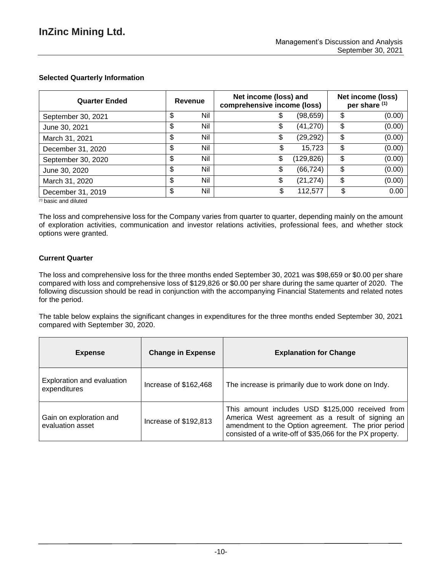# **Selected Quarterly Information**

| <b>Quarter Ended</b>   | Revenue   | Net income (loss) and<br>comprehensive income (loss) | Net income (loss)<br>per share (1) |              |
|------------------------|-----------|------------------------------------------------------|------------------------------------|--------------|
| September 30, 2021     | \$<br>Nil |                                                      | (98, 659)                          | \$<br>(0.00) |
| June 30, 2021          | \$<br>Nil | \$                                                   | (41, 270)                          | \$<br>(0.00) |
| March 31, 2021         | \$<br>Nil | \$                                                   | (29, 292)                          | \$<br>(0.00) |
| December 31, 2020      | \$<br>Nil |                                                      | 15,723                             | \$<br>(0.00) |
| September 30, 2020     | \$<br>Nil | \$                                                   | (129,826)                          | \$<br>(0.00) |
| June 30, 2020          | \$<br>Nil | \$                                                   | (66, 724)                          | \$<br>(0.00) |
| March 31, 2020         | \$<br>Nil | \$                                                   | (21, 274)                          | \$<br>(0.00) |
| December 31, 2019<br>. | \$<br>Nil |                                                      | 112,577                            | \$<br>0.00   |

*(1)* basic and diluted

The loss and comprehensive loss for the Company varies from quarter to quarter, depending mainly on the amount of exploration activities, communication and investor relations activities, professional fees, and whether stock options were granted.

## **Current Quarter**

The loss and comprehensive loss for the three months ended September 30, 2021 was \$98,659 or \$0.00 per share compared with loss and comprehensive loss of \$129,826 or \$0.00 per share during the same quarter of 2020. The following discussion should be read in conjunction with the accompanying Financial Statements and related notes for the period.

The table below explains the significant changes in expenditures for the three months ended September 30, 2021 compared with September 30, 2020.

| <b>Expense</b>                              | <b>Change in Expense</b> | <b>Explanation for Change</b>                                                                                                                                                                                            |
|---------------------------------------------|--------------------------|--------------------------------------------------------------------------------------------------------------------------------------------------------------------------------------------------------------------------|
| Exploration and evaluation<br>expenditures  | Increase of \$162,468    | The increase is primarily due to work done on Indy.                                                                                                                                                                      |
| Gain on exploration and<br>evaluation asset | Increase of \$192,813    | This amount includes USD \$125,000 received from<br>America West agreement as a result of signing an<br>amendment to the Option agreement. The prior period<br>consisted of a write-off of \$35,066 for the PX property. |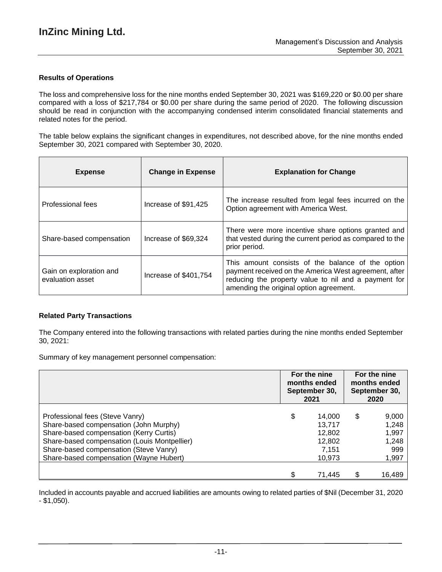#### **Results of Operations**

The loss and comprehensive loss for the nine months ended September 30, 2021 was \$169,220 or \$0.00 per share compared with a loss of \$217,784 or \$0.00 per share during the same period of 2020. The following discussion should be read in conjunction with the accompanying condensed interim consolidated financial statements and related notes for the period.

The table below explains the significant changes in expenditures, not described above, for the nine months ended September 30, 2021 compared with September 30, 2020.

| <b>Expense</b>                              | <b>Change in Expense</b> | <b>Explanation for Change</b>                                                                                                                                                                                 |
|---------------------------------------------|--------------------------|---------------------------------------------------------------------------------------------------------------------------------------------------------------------------------------------------------------|
| Professional fees                           | Increase of \$91,425     | The increase resulted from legal fees incurred on the<br>Option agreement with America West.                                                                                                                  |
| Share-based compensation                    | Increase of \$69,324     | There were more incentive share options granted and<br>that vested during the current period as compared to the<br>prior period.                                                                              |
| Gain on exploration and<br>evaluation asset | Increase of \$401,754    | This amount consists of the balance of the option<br>payment received on the America West agreement, after<br>reducing the property value to nil and a payment for<br>amending the original option agreement. |

## **Related Party Transactions**

The Company entered into the following transactions with related parties during the nine months ended September 30, 2021:

Summary of key management personnel compensation:

|                                                                                                                                                                                                                                                           | For the nine<br>months ended<br>September 30,<br>2021 |                                                         | For the nine<br>months ended<br>September 30,<br>2020 |                                                  |
|-----------------------------------------------------------------------------------------------------------------------------------------------------------------------------------------------------------------------------------------------------------|-------------------------------------------------------|---------------------------------------------------------|-------------------------------------------------------|--------------------------------------------------|
| Professional fees (Steve Vanry)<br>Share-based compensation (John Murphy)<br>Share-based compensation (Kerry Curtis)<br>Share-based compensation (Louis Montpellier)<br>Share-based compensation (Steve Vanry)<br>Share-based compensation (Wayne Hubert) | \$                                                    | 14,000<br>13,717<br>12,802<br>12,802<br>7.151<br>10,973 | \$                                                    | 9,000<br>1,248<br>1,997<br>1,248<br>999<br>1,997 |
|                                                                                                                                                                                                                                                           |                                                       | 71,445                                                  | \$                                                    | 16,489                                           |

Included in accounts payable and accrued liabilities are amounts owing to related parties of \$Nil (December 31, 2020 - \$1,050).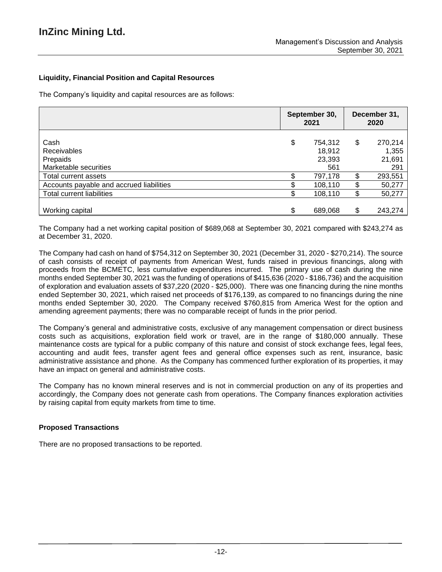## **Liquidity, Financial Position and Capital Resources**

The Company's liquidity and capital resources are as follows:

|                                                                 | September 30,<br>2021 |                                    | December 31,<br>2020 |                                   |
|-----------------------------------------------------------------|-----------------------|------------------------------------|----------------------|-----------------------------------|
| Cash<br><b>Receivables</b><br>Prepaids<br>Marketable securities | \$                    | 754,312<br>18,912<br>23,393<br>561 | \$                   | 270,214<br>1,355<br>21,691<br>291 |
| Total current assets                                            |                       | 797,178                            | \$                   | 293,551                           |
| Accounts payable and accrued liabilities                        |                       | 108,110                            | \$                   | 50,277                            |
| Total current liabilities                                       |                       | 108,110                            | \$                   | 50,277                            |
| Working capital                                                 |                       | 689,068                            | \$                   | 243,274                           |

The Company had a net working capital position of \$689,068 at September 30, 2021 compared with \$243,274 as at December 31, 2020.

The Company had cash on hand of \$754,312 on September 30, 2021 (December 31, 2020 - \$270,214). The source of cash consists of receipt of payments from American West, funds raised in previous financings, along with proceeds from the BCMETC, less cumulative expenditures incurred. The primary use of cash during the nine months ended September 30, 2021 was the funding of operations of \$415,636 (2020 - \$186,736) and the acquisition of exploration and evaluation assets of \$37,220 (2020 - \$25,000). There was one financing during the nine months ended September 30, 2021, which raised net proceeds of \$176,139, as compared to no financings during the nine months ended September 30, 2020. The Company received \$760,815 from America West for the option and amending agreement payments; there was no comparable receipt of funds in the prior period.

The Company's general and administrative costs, exclusive of any management compensation or direct business costs such as acquisitions, exploration field work or travel, are in the range of \$180,000 annually. These maintenance costs are typical for a public company of this nature and consist of stock exchange fees, legal fees, accounting and audit fees, transfer agent fees and general office expenses such as rent, insurance, basic administrative assistance and phone. As the Company has commenced further exploration of its properties, it may have an impact on general and administrative costs.

The Company has no known mineral reserves and is not in commercial production on any of its properties and accordingly, the Company does not generate cash from operations. The Company finances exploration activities by raising capital from equity markets from time to time.

## **Proposed Transactions**

There are no proposed transactions to be reported.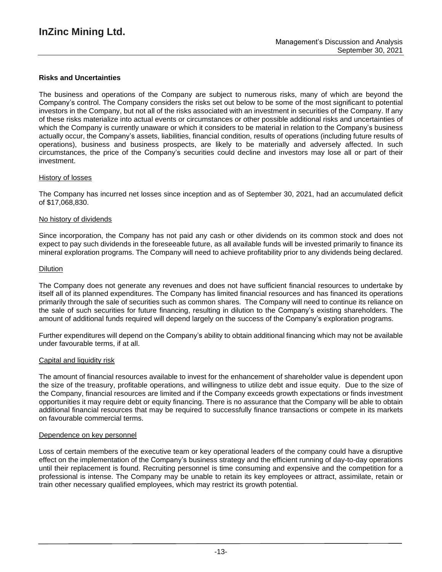#### **Risks and Uncertainties**

The business and operations of the Company are subject to numerous risks, many of which are beyond the Company's control. The Company considers the risks set out below to be some of the most significant to potential investors in the Company, but not all of the risks associated with an investment in securities of the Company. If any of these risks materialize into actual events or circumstances or other possible additional risks and uncertainties of which the Company is currently unaware or which it considers to be material in relation to the Company's business actually occur, the Company's assets, liabilities, financial condition, results of operations (including future results of operations), business and business prospects, are likely to be materially and adversely affected. In such circumstances, the price of the Company's securities could decline and investors may lose all or part of their investment.

#### History of losses

The Company has incurred net losses since inception and as of September 30, 2021, had an accumulated deficit of \$17,068,830.

#### No history of dividends

Since incorporation, the Company has not paid any cash or other dividends on its common stock and does not expect to pay such dividends in the foreseeable future, as all available funds will be invested primarily to finance its mineral exploration programs. The Company will need to achieve profitability prior to any dividends being declared.

#### **Dilution**

The Company does not generate any revenues and does not have sufficient financial resources to undertake by itself all of its planned expenditures. The Company has limited financial resources and has financed its operations primarily through the sale of securities such as common shares. The Company will need to continue its reliance on the sale of such securities for future financing, resulting in dilution to the Company's existing shareholders. The amount of additional funds required will depend largely on the success of the Company's exploration programs.

Further expenditures will depend on the Company's ability to obtain additional financing which may not be available under favourable terms, if at all.

#### Capital and liquidity risk

The amount of financial resources available to invest for the enhancement of shareholder value is dependent upon the size of the treasury, profitable operations, and willingness to utilize debt and issue equity. Due to the size of the Company, financial resources are limited and if the Company exceeds growth expectations or finds investment opportunities it may require debt or equity financing. There is no assurance that the Company will be able to obtain additional financial resources that may be required to successfully finance transactions or compete in its markets on favourable commercial terms.

#### Dependence on key personnel

Loss of certain members of the executive team or key operational leaders of the company could have a disruptive effect on the implementation of the Company's business strategy and the efficient running of day-to-day operations until their replacement is found. Recruiting personnel is time consuming and expensive and the competition for a professional is intense. The Company may be unable to retain its key employees or attract, assimilate, retain or train other necessary qualified employees, which may restrict its growth potential.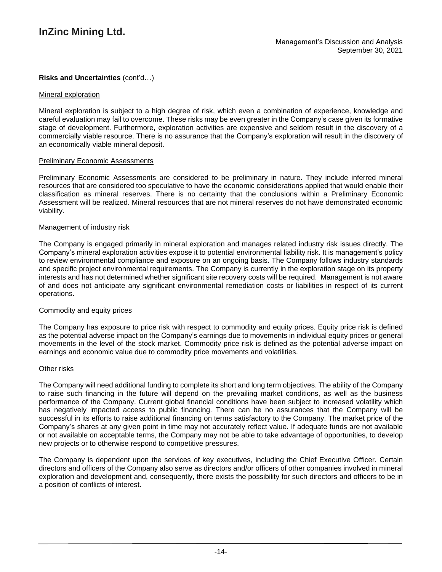## **Risks and Uncertainties** (cont'd…)

#### Mineral exploration

Mineral exploration is subject to a high degree of risk, which even a combination of experience, knowledge and careful evaluation may fail to overcome. These risks may be even greater in the Company's case given its formative stage of development. Furthermore, exploration activities are expensive and seldom result in the discovery of a commercially viable resource. There is no assurance that the Company's exploration will result in the discovery of an economically viable mineral deposit.

#### Preliminary Economic Assessments

Preliminary Economic Assessments are considered to be preliminary in nature. They include inferred mineral resources that are considered too speculative to have the economic considerations applied that would enable their classification as mineral reserves. There is no certainty that the conclusions within a Preliminary Economic Assessment will be realized. Mineral resources that are not mineral reserves do not have demonstrated economic viability.

### Management of industry risk

The Company is engaged primarily in mineral exploration and manages related industry risk issues directly. The Company's mineral exploration activities expose it to potential environmental liability risk. It is management's policy to review environmental compliance and exposure on an ongoing basis. The Company follows industry standards and specific project environmental requirements. The Company is currently in the exploration stage on its property interests and has not determined whether significant site recovery costs will be required. Management is not aware of and does not anticipate any significant environmental remediation costs or liabilities in respect of its current operations.

#### Commodity and equity prices

The Company has exposure to price risk with respect to commodity and equity prices. Equity price risk is defined as the potential adverse impact on the Company's earnings due to movements in individual equity prices or general movements in the level of the stock market. Commodity price risk is defined as the potential adverse impact on earnings and economic value due to commodity price movements and volatilities.

#### Other risks

The Company will need additional funding to complete its short and long term objectives. The ability of the Company to raise such financing in the future will depend on the prevailing market conditions, as well as the business performance of the Company. Current global financial conditions have been subject to increased volatility which has negatively impacted access to public financing. There can be no assurances that the Company will be successful in its efforts to raise additional financing on terms satisfactory to the Company. The market price of the Company's shares at any given point in time may not accurately reflect value. If adequate funds are not available or not available on acceptable terms, the Company may not be able to take advantage of opportunities, to develop new projects or to otherwise respond to competitive pressures.

The Company is dependent upon the services of key executives, including the Chief Executive Officer. Certain directors and officers of the Company also serve as directors and/or officers of other companies involved in mineral exploration and development and, consequently, there exists the possibility for such directors and officers to be in a position of conflicts of interest.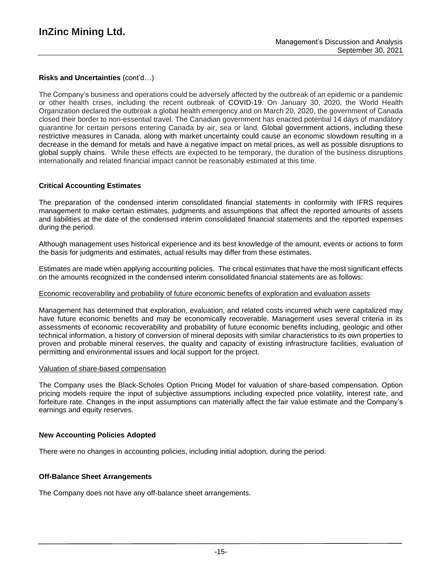## **Risks and Uncertainties** (cont'd…)

The Company's business and operations could be adversely affected by the outbreak of an epidemic or a pandemic or other health crises, including the recent outbreak of COVID-19. On January 30, 2020, the World Health Organization declared the outbreak a global health emergency and on March 20, 2020, the government of Canada closed their border to non-essential travel. The Canadian government has enacted potential 14 days of mandatory quarantine for certain persons entering Canada by air, sea or land. Global government actions, including these restrictive measures in Canada, along with market uncertainty could cause an economic slowdown resulting in a decrease in the demand for metals and have a negative impact on metal prices, as well as possible disruptions to global supply chains. While these effects are expected to be temporary, the duration of the business disruptions internationally and related financial impact cannot be reasonably estimated at this time.

## **Critical Accounting Estimates**

The preparation of the condensed interim consolidated financial statements in conformity with IFRS requires management to make certain estimates, judgments and assumptions that affect the reported amounts of assets and liabilities at the date of the condensed interim consolidated financial statements and the reported expenses during the period.

Although management uses historical experience and its best knowledge of the amount, events or actions to form the basis for judgments and estimates, actual results may differ from these estimates.

Estimates are made when applying accounting policies. The critical estimates that have the most significant effects on the amounts recognized in the condensed interim consolidated financial statements are as follows:

#### Economic recoverability and probability of future economic benefits of exploration and evaluation assets

Management has determined that exploration, evaluation, and related costs incurred which were capitalized may have future economic benefits and may be economically recoverable. Management uses several criteria in its assessments of economic recoverability and probability of future economic benefits including, geologic and other technical information, a history of conversion of mineral deposits with similar characteristics to its own properties to proven and probable mineral reserves, the quality and capacity of existing infrastructure facilities, evaluation of permitting and environmental issues and local support for the project.

#### Valuation of share-based compensation

The Company uses the Black-Scholes Option Pricing Model for valuation of share-based compensation. Option pricing models require the input of subjective assumptions including expected price volatility, interest rate, and forfeiture rate. Changes in the input assumptions can materially affect the fair value estimate and the Company's earnings and equity reserves.

#### **New Accounting Policies Adopted**

There were no changes in accounting policies, including initial adoption, during the period.

#### **Off-Balance Sheet Arrangements**

The Company does not have any off-balance sheet arrangements.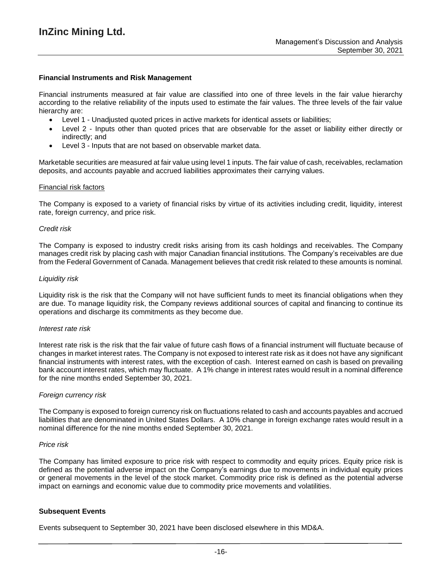#### **Financial Instruments and Risk Management**

Financial instruments measured at fair value are classified into one of three levels in the fair value hierarchy according to the relative reliability of the inputs used to estimate the fair values. The three levels of the fair value hierarchy are:

- Level 1 Unadjusted quoted prices in active markets for identical assets or liabilities;
- Level 2 Inputs other than quoted prices that are observable for the asset or liability either directly or indirectly; and
- Level 3 Inputs that are not based on observable market data.

Marketable securities are measured at fair value using level 1 inputs. The fair value of cash, receivables, reclamation deposits, and accounts payable and accrued liabilities approximates their carrying values.

#### Financial risk factors

The Company is exposed to a variety of financial risks by virtue of its activities including credit, liquidity, interest rate, foreign currency, and price risk.

#### *Credit risk*

The Company is exposed to industry credit risks arising from its cash holdings and receivables. The Company manages credit risk by placing cash with major Canadian financial institutions. The Company's receivables are due from the Federal Government of Canada. Management believes that credit risk related to these amounts is nominal.

#### *Liquidity risk*

Liquidity risk is the risk that the Company will not have sufficient funds to meet its financial obligations when they are due. To manage liquidity risk, the Company reviews additional sources of capital and financing to continue its operations and discharge its commitments as they become due.

#### *Interest rate risk*

Interest rate risk is the risk that the fair value of future cash flows of a financial instrument will fluctuate because of changes in market interest rates. The Company is not exposed to interest rate risk as it does not have any significant financial instruments with interest rates, with the exception of cash. Interest earned on cash is based on prevailing bank account interest rates, which may fluctuate. A 1% change in interest rates would result in a nominal difference for the nine months ended September 30, 2021.

#### *Foreign currency risk*

The Company is exposed to foreign currency risk on fluctuations related to cash and accounts payables and accrued liabilities that are denominated in United States Dollars. A 10% change in foreign exchange rates would result in a nominal difference for the nine months ended September 30, 2021.

#### *Price risk*

The Company has limited exposure to price risk with respect to commodity and equity prices. Equity price risk is defined as the potential adverse impact on the Company's earnings due to movements in individual equity prices or general movements in the level of the stock market. Commodity price risk is defined as the potential adverse impact on earnings and economic value due to commodity price movements and volatilities.

#### **Subsequent Events**

Events subsequent to September 30, 2021 have been disclosed elsewhere in this MD&A.